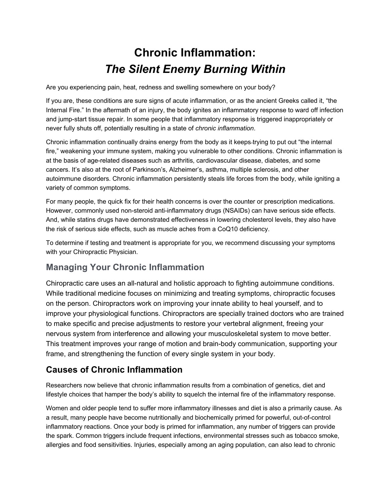# **Chronic Inflammation:** *The Silent Enemy Burning Within*

Are you experiencing pain, heat, redness and swelling somewhere on your body?

If you are, these conditions are sure signs of acute inflammation, or as the ancient Greeks called it, "the Internal Fire." In the aftermath of an injury, the body ignites an inflammatory response to ward off infection and jump-start tissue repair. In some people that inflammatory response is triggered inappropriately or never fully shuts off, potentially resulting in a state of *chronic inflammation*.

Chronic inflammation continually drains energy from the body as it keeps-trying to put out "the internal fire," weakening your immune system, making you vulnerable to other conditions. Chronic inflammation is at the basis of age-related diseases such as arthritis, cardiovascular disease, diabetes, and some cancers. It's also at the root of Parkinson's, Alzheimer's, asthma, multiple sclerosis, and other autoimmune disorders. Chronic inflammation persistently steals life forces from the body, while igniting a variety of common symptoms.

For many people, the quick fix for their health concerns is over the counter or prescription medications. However, commonly used non-steroid anti-inflammatory drugs (NSAIDs) can have serious side effects. And, while statins drugs have demonstrated effectiveness in lowering cholesterol levels, they also have the risk of serious side effects, such as muscle aches from a CoQ10 deficiency.

To determine if testing and treatment is appropriate for you, we recommend discussing your symptoms with your Chiropractic Physician.

## **Managing Your Chronic Inflammation**

Chiropractic care uses an all-natural and holistic approach to fighting autoimmune conditions. While traditional medicine focuses on minimizing and treating symptoms, chiropractic focuses on the person. Chiropractors work on improving your innate ability to heal yourself, and to improve your physiological functions. Chiropractors are specially trained doctors who are trained to make specific and precise adjustments to restore your vertebral alignment, freeing your nervous system from interference and allowing your musculoskeletal system to move better. This treatment improves your range of motion and brain-body communication, supporting your frame, and strengthening the function of every single system in your body.

### **Causes of Chronic Inflammation**

Researchers now believe that chronic inflammation results from a combination of genetics, diet and lifestyle choices that hamper the body's ability to squelch the internal fire of the inflammatory response.

Women and older people tend to suffer more inflammatory illnesses and diet is also a primarily cause. As a result, many people have become nutritionally and biochemically primed for powerful, out-of-control inflammatory reactions. Once your body is primed for inflammation, any number of triggers can provide the spark. Common triggers include frequent infections, environmental stresses such as tobacco smoke, allergies and food sensitivities. Injuries, especially among an aging population, can also lead to chronic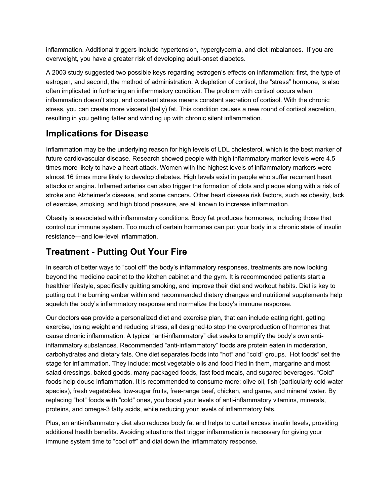inflammation. Additional triggers include hypertension, hyperglycemia, and diet imbalances. If you are overweight, you have a greater risk of developing adult-onset diabetes.

A 2003 study suggested two possible keys regarding estrogen's effects on inflammation: first, the type of estrogen, and second, the method of administration. A depletion of cortisol, the "stress" hormone, is also often implicated in furthering an inflammatory condition. The problem with cortisol occurs when inflammation doesn't stop, and constant stress means constant secretion of cortisol. With the chronic stress, you can create more visceral (belly) fat. This condition causes a new round of cortisol secretion, resulting in you getting fatter and winding up with chronic silent inflammation.

### **Implications for Disease**

Inflammation may be the underlying reason for high levels of LDL cholesterol, which is the best marker of future cardiovascular disease. Research showed people with high inflammatory marker levels were 4.5 times more likely to have a heart attack. Women with the highest levels of inflammatory markers were almost 16 times more likely to develop diabetes. High levels exist in people who suffer recurrent heart attacks or angina. Inflamed arteries can also trigger the formation of clots and plaque along with a risk of stroke and Alzheimer's disease, and some cancers. Other heart disease risk factors, such as obesity, lack of exercise, smoking, and high blood pressure, are all known to increase inflammation.

Obesity is associated with inflammatory conditions. Body fat produces hormones, including those that control our immune system. Too much of certain hormones can put your body in a chronic state of insulin resistance—and low-level inflammation.

#### **Treatment - Putting Out Your Fire**

In search of better ways to "cool off" the body's inflammatory responses, treatments are now looking beyond the medicine cabinet to the kitchen cabinet and the gym. It is recommended patients start a healthier lifestyle, specifically quitting smoking, and improve their diet and workout habits. Diet is key to putting out the burning ember within and recommended dietary changes and nutritional supplements help squelch the body's inflammatory response and normalize the body's immune response.

Our doctors can provide a personalized diet and exercise plan, that can include eating right, getting exercise, losing weight and reducing stress, all designed to stop the overproduction of hormones that cause chronic inflammation. A typical "anti-inflammatory" diet seeks to amplify the body's own antiinflammatory substances. Recommended "anti-inflammatory" foods are protein eaten in moderation, carbohydrates and dietary fats. One diet separates foods into "hot" and "cold" groups. Hot foods" set the stage for inflammation. They include: most vegetable oils and food fried in them, margarine and most salad dressings, baked goods, many packaged foods, fast food meals, and sugared beverages. "Cold" foods help douse inflammation. It is recommended to consume more: olive oil, fish (particularly cold-water species), fresh vegetables, low-sugar fruits, free-range beef, chicken, and game, and mineral water. By replacing "hot" foods with "cold" ones, you boost your levels of anti-inflammatory vitamins, minerals, proteins, and omega-3 fatty acids, while reducing your levels of inflammatory fats.

Plus, an anti-inflammatory diet also reduces body fat and helps to curtail excess insulin levels, providing additional health benefits. Avoiding situations that trigger inflammation is necessary for giving your immune system time to "cool off" and dial down the inflammatory response.